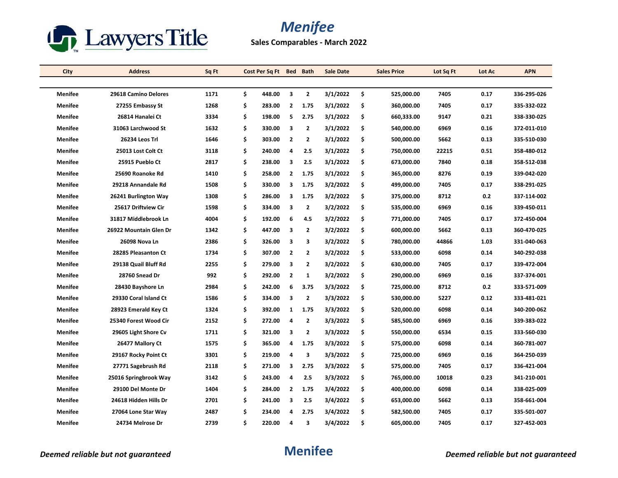

**Sales Comparables - March 2022**

| City           | <b>Address</b>         | Sq Ft | Cost Per Sq Ft Bed Bath |                         |                | <b>Sale Date</b> | <b>Sales Price</b> | Lot Sq Ft | Lot Ac | <b>APN</b>  |
|----------------|------------------------|-------|-------------------------|-------------------------|----------------|------------------|--------------------|-----------|--------|-------------|
|                |                        |       |                         |                         |                |                  |                    |           |        |             |
| Menifee        | 29618 Camino Delores   | 1171  | \$<br>448.00            | $\overline{\mathbf{3}}$ | $\mathbf{2}$   | 3/1/2022         | \$<br>525,000.00   | 7405      | 0.17   | 336-295-026 |
| <b>Menifee</b> | 27255 Embassy St       | 1268  | \$<br>283.00            | $\overline{2}$          | 1.75           | 3/1/2022         | \$<br>360,000.00   | 7405      | 0.17   | 335-332-022 |
| <b>Menifee</b> | 26814 Hanalei Ct       | 3334  | \$<br>198.00            | -5                      | 2.75           | 3/1/2022         | \$<br>660,333.00   | 9147      | 0.21   | 338-330-025 |
| <b>Menifee</b> | 31063 Larchwood St     | 1632  | \$<br>330.00            | $\overline{\mathbf{3}}$ | 2              | 3/1/2022         | \$<br>540,000.00   | 6969      | 0.16   | 372-011-010 |
| <b>Menifee</b> | 26234 Leos Trl         | 1646  | \$<br>303.00            | $\overline{2}$          | $\mathbf{2}$   | 3/1/2022         | \$<br>500,000.00   | 5662      | 0.13   | 335-510-030 |
| <b>Menifee</b> | 25013 Lost Colt Ct     | 3118  | \$<br>240.00            | $\overline{4}$          | 2.5            | 3/1/2022         | \$<br>750,000.00   | 22215     | 0.51   | 358-480-012 |
| <b>Menifee</b> | 25915 Pueblo Ct        | 2817  | \$<br>238.00            | $\overline{\mathbf{3}}$ | 2.5            | 3/1/2022         | \$<br>673,000.00   | 7840      | 0.18   | 358-512-038 |
| <b>Menifee</b> | 25690 Roanoke Rd       | 1410  | \$<br>258.00            | $\overline{2}$          | 1.75           | 3/1/2022         | \$<br>365,000.00   | 8276      | 0.19   | 339-042-020 |
| <b>Menifee</b> | 29218 Annandale Rd     | 1508  | \$<br>330.00            | 3                       | 1.75           | 3/2/2022         | \$<br>499,000.00   | 7405      | 0.17   | 338-291-025 |
| <b>Menifee</b> | 26241 Burlington Way   | 1308  | \$<br>286.00            | 3                       | 1.75           | 3/2/2022         | \$<br>375,000.00   | 8712      | 0.2    | 337-114-002 |
| Menifee        | 25617 Driftview Cir    | 1598  | \$<br>334.00            | $\overline{\mathbf{3}}$ | $\mathbf{2}$   | 3/2/2022         | \$<br>535,000.00   | 6969      | 0.16   | 339-450-011 |
| <b>Menifee</b> | 31817 Middlebrook Ln   | 4004  | \$<br>192.00            | 6                       | 4.5            | 3/2/2022         | \$<br>771,000.00   | 7405      | 0.17   | 372-450-004 |
| <b>Menifee</b> | 26922 Mountain Glen Dr | 1342  | \$<br>447.00            | 3                       | $\mathbf{2}$   | 3/2/2022         | \$<br>600,000.00   | 5662      | 0.13   | 360-470-025 |
| <b>Menifee</b> | 26098 Nova Ln          | 2386  | \$<br>326.00            | $\overline{\mathbf{3}}$ | 3              | 3/2/2022         | \$<br>780,000.00   | 44866     | 1.03   | 331-040-063 |
| <b>Menifee</b> | 28285 Pleasanton Ct    | 1734  | \$<br>307.00            | $\overline{2}$          | $\mathbf{2}$   | 3/2/2022         | \$<br>533,000.00   | 6098      | 0.14   | 340-292-038 |
| <b>Menifee</b> | 29138 Quail Bluff Rd   | 2255  | \$<br>279.00            | $\overline{\mathbf{3}}$ | $\mathbf{2}$   | 3/2/2022         | \$<br>630,000.00   | 7405      | 0.17   | 339-472-004 |
| <b>Menifee</b> | 28760 Snead Dr         | 992   | \$<br>292.00            | $\overline{2}$          | $\mathbf{1}$   | 3/2/2022         | \$<br>290,000.00   | 6969      | 0.16   | 337-374-001 |
| <b>Menifee</b> | 28430 Bayshore Ln      | 2984  | \$<br>242.00            | 6                       | 3.75           | 3/3/2022         | \$<br>725,000.00   | 8712      | 0.2    | 333-571-009 |
| <b>Menifee</b> | 29330 Coral Island Ct  | 1586  | \$<br>334.00            | $\overline{\mathbf{3}}$ | $\mathbf{2}$   | 3/3/2022         | \$<br>530,000.00   | 5227      | 0.12   | 333-481-021 |
| <b>Menifee</b> | 28923 Emerald Key Ct   | 1324  | \$<br>392.00            | 1                       | 1.75           | 3/3/2022         | \$<br>520,000.00   | 6098      | 0.14   | 340-200-062 |
| <b>Menifee</b> | 25340 Forest Wood Cir  | 2152  | \$<br>272.00            | $\overline{4}$          | $\overline{2}$ | 3/3/2022         | \$<br>585,500.00   | 6969      | 0.16   | 339-383-022 |
| Menifee        | 29605 Light Shore Cv   | 1711  | \$<br>321.00            | 3                       | $\mathbf{2}$   | 3/3/2022         | \$<br>550,000.00   | 6534      | 0.15   | 333-560-030 |
| <b>Menifee</b> | 26477 Mallory Ct       | 1575  | \$<br>365.00            | 4                       | 1.75           | 3/3/2022         | \$<br>575,000.00   | 6098      | 0.14   | 360-781-007 |
| <b>Menifee</b> | 29167 Rocky Point Ct   | 3301  | \$<br>219.00            | 4                       | 3              | 3/3/2022         | \$<br>725,000.00   | 6969      | 0.16   | 364-250-039 |
| <b>Menifee</b> | 27771 Sagebrush Rd     | 2118  | \$<br>271.00            | 3                       | 2.75           | 3/3/2022         | \$<br>575,000.00   | 7405      | 0.17   | 336-421-004 |
| <b>Menifee</b> | 25016 Springbrook Way  | 3142  | \$<br>243.00            | 4                       | 2.5            | 3/3/2022         | \$<br>765,000.00   | 10018     | 0.23   | 341-210-001 |
| <b>Menifee</b> | 29100 Del Monte Dr     | 1404  | \$<br>284.00            | $\overline{2}$          | 1.75           | 3/4/2022         | \$<br>400,000.00   | 6098      | 0.14   | 338-025-009 |
| <b>Menifee</b> | 24618 Hidden Hills Dr  | 2701  | \$<br>241.00            | $\overline{\mathbf{3}}$ | 2.5            | 3/4/2022         | \$<br>653,000.00   | 5662      | 0.13   | 358-661-004 |
| <b>Menifee</b> | 27064 Lone Star Way    | 2487  | \$<br>234.00            | 4                       | 2.75           | 3/4/2022         | \$<br>582,500.00   | 7405      | 0.17   | 335-501-007 |
| Menifee        | 24734 Melrose Dr       | 2739  | \$<br>220.00            | 4                       | 3              | 3/4/2022         | \$<br>605,000.00   | 7405      | 0.17   | 327-452-003 |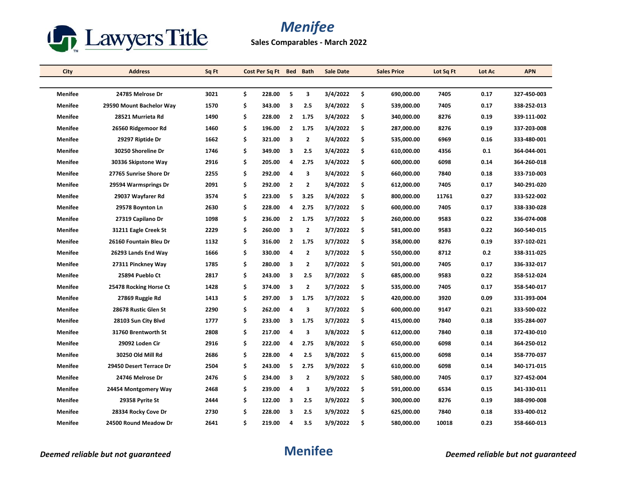

**Sales Comparables - March 2022**

| City           | <b>Address</b>           | Sq Ft | Cost Per Sq Ft | Bed          | <b>Bath</b>             | <b>Sale Date</b> | <b>Sales Price</b> | Lot Sq Ft | Lot Ac | <b>APN</b>  |
|----------------|--------------------------|-------|----------------|--------------|-------------------------|------------------|--------------------|-----------|--------|-------------|
|                |                          |       |                |              |                         |                  |                    |           |        |             |
| <b>Menifee</b> | 24785 Melrose Dr         | 3021  | \$<br>228.00   | 5            | 3                       | 3/4/2022         | \$<br>690,000.00   | 7405      | 0.17   | 327-450-003 |
| <b>Menifee</b> | 29590 Mount Bachelor Way | 1570  | \$<br>343.00   | 3            | 2.5                     | 3/4/2022         | \$<br>539,000.00   | 7405      | 0.17   | 338-252-013 |
| <b>Menifee</b> | 28521 Murrieta Rd        | 1490  | \$<br>228.00   | $\mathbf{2}$ | 1.75                    | 3/4/2022         | \$<br>340,000.00   | 8276      | 0.19   | 339-111-002 |
| <b>Menifee</b> | 26560 Ridgemoor Rd       | 1460  | \$<br>196.00   | 2            | 1.75                    | 3/4/2022         | \$<br>287,000.00   | 8276      | 0.19   | 337-203-008 |
| <b>Menifee</b> | 29297 Riptide Dr         | 1662  | \$<br>321.00   | 3            | $\overline{2}$          | 3/4/2022         | \$<br>535,000.00   | 6969      | 0.16   | 333-480-001 |
| <b>Menifee</b> | 30250 Shoreline Dr       | 1746  | \$<br>349.00   | 3            | 2.5                     | 3/4/2022         | \$<br>610,000.00   | 4356      | 0.1    | 364-044-001 |
| <b>Menifee</b> | 30336 Skipstone Way      | 2916  | \$<br>205.00   | 4            | 2.75                    | 3/4/2022         | \$<br>600,000.00   | 6098      | 0.14   | 364-260-018 |
| Menifee        | 27765 Sunrise Shore Dr   | 2255  | \$<br>292.00   | 4            | 3                       | 3/4/2022         | \$<br>660,000.00   | 7840      | 0.18   | 333-710-003 |
| <b>Menifee</b> | 29594 Warmsprings Dr     | 2091  | \$<br>292.00   | 2            | 2                       | 3/4/2022         | \$<br>612,000.00   | 7405      | 0.17   | 340-291-020 |
| <b>Menifee</b> | 29037 Wayfarer Rd        | 3574  | \$<br>223.00   | 5            | 3.25                    | 3/4/2022         | \$<br>800,000.00   | 11761     | 0.27   | 333-522-002 |
| <b>Menifee</b> | 29578 Boynton Ln         | 2630  | \$<br>228.00   | 4            | 2.75                    | 3/7/2022         | \$<br>600,000.00   | 7405      | 0.17   | 338-330-028 |
| <b>Menifee</b> | 27319 Capilano Dr        | 1098  | \$<br>236.00   | $\mathbf{2}$ | 1.75                    | 3/7/2022         | \$<br>260,000.00   | 9583      | 0.22   | 336-074-008 |
| <b>Menifee</b> | 31211 Eagle Creek St     | 2229  | \$<br>260.00   | 3            | $\overline{2}$          | 3/7/2022         | \$<br>581,000.00   | 9583      | 0.22   | 360-540-015 |
| <b>Menifee</b> | 26160 Fountain Bleu Dr   | 1132  | \$<br>316.00   | 2            | 1.75                    | 3/7/2022         | \$<br>358,000.00   | 8276      | 0.19   | 337-102-021 |
| <b>Menifee</b> | 26293 Lands End Way      | 1666  | \$<br>330.00   | 4            | $\overline{2}$          | 3/7/2022         | \$<br>550,000.00   | 8712      | 0.2    | 338-311-025 |
| <b>Menifee</b> | 27311 Pinckney Way       | 1785  | \$<br>280.00   | 3            | $\overline{\mathbf{2}}$ | 3/7/2022         | \$<br>501,000.00   | 7405      | 0.17   | 336-332-017 |
| <b>Menifee</b> | 25894 Pueblo Ct          | 2817  | \$<br>243.00   | 3            | 2.5                     | 3/7/2022         | \$<br>685,000.00   | 9583      | 0.22   | 358-512-024 |
| <b>Menifee</b> | 25478 Rocking Horse Ct   | 1428  | \$<br>374.00   | 3            | $\overline{2}$          | 3/7/2022         | \$<br>535,000.00   | 7405      | 0.17   | 358-540-017 |
| Menifee        | 27869 Ruggie Rd          | 1413  | \$<br>297.00   | 3            | 1.75                    | 3/7/2022         | \$<br>420,000.00   | 3920      | 0.09   | 331-393-004 |
| <b>Menifee</b> | 28678 Rustic Glen St     | 2290  | \$<br>262.00   | 4            | 3                       | 3/7/2022         | \$<br>600,000.00   | 9147      | 0.21   | 333-500-022 |
| <b>Menifee</b> | 28103 Sun City Blvd      | 1777  | \$<br>233.00   | 3            | 1.75                    | 3/7/2022         | \$<br>415,000.00   | 7840      | 0.18   | 335-284-007 |
| <b>Menifee</b> | 31760 Brentworth St      | 2808  | \$<br>217.00   | 4            | 3                       | 3/8/2022         | \$<br>612,000.00   | 7840      | 0.18   | 372-430-010 |
| <b>Menifee</b> | 29092 Loden Cir          | 2916  | \$<br>222.00   | 4            | 2.75                    | 3/8/2022         | \$<br>650,000.00   | 6098      | 0.14   | 364-250-012 |
| Menifee        | 30250 Old Mill Rd        | 2686  | \$<br>228.00   | 4            | 2.5                     | 3/8/2022         | \$<br>615,000.00   | 6098      | 0.14   | 358-770-037 |
| <b>Menifee</b> | 29450 Desert Terrace Dr  | 2504  | \$<br>243.00   | 5            | 2.75                    | 3/9/2022         | \$<br>610,000.00   | 6098      | 0.14   | 340-171-015 |
| <b>Menifee</b> | 24746 Melrose Dr         | 2476  | \$<br>234.00   | 3            | $\overline{\mathbf{2}}$ | 3/9/2022         | \$<br>580,000.00   | 7405      | 0.17   | 327-452-004 |
| <b>Menifee</b> | 24454 Montgomery Way     | 2468  | \$<br>239.00   | 4            | 3                       | 3/9/2022         | \$<br>591,000.00   | 6534      | 0.15   | 341-330-011 |
| <b>Menifee</b> | 29358 Pyrite St          | 2444  | \$<br>122.00   | 3            | 2.5                     | 3/9/2022         | \$<br>300,000.00   | 8276      | 0.19   | 388-090-008 |
| Menifee        | 28334 Rocky Cove Dr      | 2730  | \$<br>228.00   | 3            | 2.5                     | 3/9/2022         | \$<br>625,000.00   | 7840      | 0.18   | 333-400-012 |
| <b>Menifee</b> | 24500 Round Meadow Dr    | 2641  | \$<br>219.00   | 4            | 3.5                     | 3/9/2022         | \$<br>580,000.00   | 10018     | 0.23   | 358-660-013 |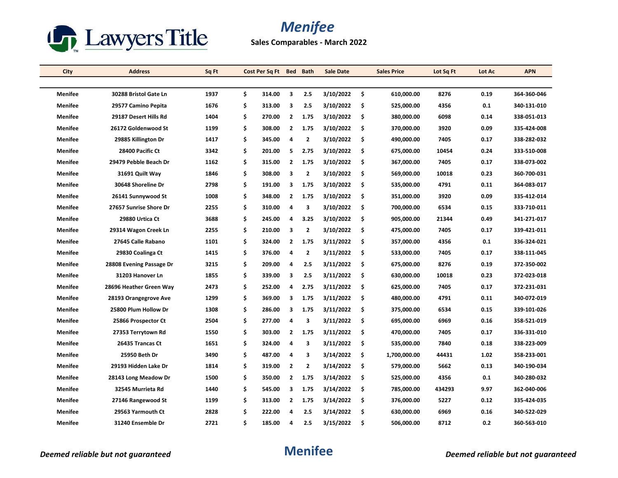

**Sales Comparables - March 2022**

| City           | <b>Address</b>           | Sq Ft | Cost Per Sq Ft |                | Bed Bath       | <b>Sale Date</b> |     | <b>Sales Price</b> | Lot Sq Ft | Lot Ac | <b>APN</b>  |
|----------------|--------------------------|-------|----------------|----------------|----------------|------------------|-----|--------------------|-----------|--------|-------------|
|                |                          |       |                |                |                |                  |     |                    |           |        |             |
| <b>Menifee</b> | 30288 Bristol Gate Ln    | 1937  | \$<br>314.00   | 3              | 2.5            | 3/10/2022        | -\$ | 610,000.00         | 8276      | 0.19   | 364-360-046 |
| <b>Menifee</b> | 29577 Camino Pepita      | 1676  | \$<br>313.00   | 3              | 2.5            | 3/10/2022        | \$  | 525,000.00         | 4356      | 0.1    | 340-131-010 |
| Menifee        | 29187 Desert Hills Rd    | 1404  | \$<br>270.00   | $\mathbf{2}$   | 1.75           | 3/10/2022        | \$  | 380,000.00         | 6098      | 0.14   | 338-051-013 |
| <b>Menifee</b> | 26172 Goldenwood St      | 1199  | \$<br>308.00   | $\overline{2}$ | 1.75           | 3/10/2022        | -\$ | 370,000.00         | 3920      | 0.09   | 335-424-008 |
| <b>Menifee</b> | 29885 Killington Dr      | 1417  | \$<br>345.00   | 4              | $\overline{2}$ | 3/10/2022        | Ŝ.  | 490,000.00         | 7405      | 0.17   | 338-282-032 |
| <b>Menifee</b> | 28400 Pacific Ct         | 3342  | \$<br>201.00   | 5              | 2.75           | 3/10/2022        | \$  | 675,000.00         | 10454     | 0.24   | 333-510-008 |
| <b>Menifee</b> | 29479 Pebble Beach Dr    | 1162  | \$<br>315.00   | $\mathbf{2}$   | 1.75           | 3/10/2022        | \$  | 367,000.00         | 7405      | 0.17   | 338-073-002 |
| <b>Menifee</b> | 31691 Quilt Way          | 1846  | \$<br>308.00   | 3              | $\overline{2}$ | 3/10/2022        | \$  | 569,000.00         | 10018     | 0.23   | 360-700-031 |
| <b>Menifee</b> | 30648 Shoreline Dr       | 2798  | \$<br>191.00   | 3              | 1.75           | 3/10/2022        | \$  | 535,000.00         | 4791      | 0.11   | 364-083-017 |
| <b>Menifee</b> | 26141 Sunnywood St       | 1008  | \$<br>348.00   | $\mathbf{2}$   | 1.75           | 3/10/2022        | \$  | 351,000.00         | 3920      | 0.09   | 335-412-014 |
| <b>Menifee</b> | 27657 Sunrise Shore Dr   | 2255  | \$<br>310.00   | 4              | 3              | 3/10/2022        | Ŝ.  | 700,000.00         | 6534      | 0.15   | 333-710-011 |
| <b>Menifee</b> | 29880 Urtica Ct          | 3688  | \$<br>245.00   | 4              | 3.25           | 3/10/2022        | Ŝ.  | 905,000.00         | 21344     | 0.49   | 341-271-017 |
| <b>Menifee</b> | 29314 Wagon Creek Ln     | 2255  | \$<br>210.00   | 3              | $\overline{2}$ | 3/10/2022        | \$  | 475,000.00         | 7405      | 0.17   | 339-421-011 |
| <b>Menifee</b> | 27645 Calle Rabano       | 1101  | \$<br>324.00   | $\mathbf{2}$   | 1.75           | 3/11/2022        | \$  | 357,000.00         | 4356      | 0.1    | 336-324-021 |
| <b>Menifee</b> | 29830 Coalinga Ct        | 1415  | \$<br>376.00   | 4              | $\overline{2}$ | 3/11/2022        | \$  | 533,000.00         | 7405      | 0.17   | 338-111-045 |
| Menifee        | 28808 Evening Passage Dr | 3215  | \$<br>209.00   | 4              | 2.5            | 3/11/2022        | \$  | 675,000.00         | 8276      | 0.19   | 372-350-002 |
| <b>Menifee</b> | 31203 Hanover Ln         | 1855  | \$<br>339.00   | 3              | 2.5            | 3/11/2022        | \$. | 630,000.00         | 10018     | 0.23   | 372-023-018 |
| <b>Menifee</b> | 28696 Heather Green Way  | 2473  | \$<br>252.00   | 4              | 2.75           | 3/11/2022        | Ŝ.  | 625,000.00         | 7405      | 0.17   | 372-231-031 |
| Menifee        | 28193 Orangegrove Ave    | 1299  | \$<br>369.00   | 3              | 1.75           | 3/11/2022        | \$  | 480,000.00         | 4791      | 0.11   | 340-072-019 |
| <b>Menifee</b> | 25800 Plum Hollow Dr     | 1308  | \$<br>286.00   | 3              | 1.75           | 3/11/2022        | \$  | 375,000.00         | 6534      | 0.15   | 339-101-026 |
| <b>Menifee</b> | 25866 Prospector Ct      | 2504  | \$<br>277.00   | 4              | 3              | 3/11/2022        | \$  | 695,000.00         | 6969      | 0.16   | 358-521-019 |
| <b>Menifee</b> | 27353 Terrytown Rd       | 1550  | \$<br>303.00   | $\mathbf{2}$   | 1.75           | 3/11/2022        | \$  | 470,000.00         | 7405      | 0.17   | 336-331-010 |
| <b>Menifee</b> | 26435 Trancas Ct         | 1651  | \$<br>324.00   | 4              | 3              | 3/11/2022        | \$  | 535,000.00         | 7840      | 0.18   | 338-223-009 |
| <b>Menifee</b> | 25950 Beth Dr            | 3490  | \$<br>487.00   | 4              | 3              | 3/14/2022        | -\$ | 1,700,000.00       | 44431     | 1.02   | 358-233-001 |
| Menifee        | 29193 Hidden Lake Dr     | 1814  | \$<br>319.00   | 2              | $\mathbf{2}$   | 3/14/2022        | \$  | 579,000.00         | 5662      | 0.13   | 340-190-034 |
| <b>Menifee</b> | 28143 Long Meadow Dr     | 1500  | \$<br>350.00   | $\mathbf{2}$   | 1.75           | 3/14/2022        | \$  | 525,000.00         | 4356      | 0.1    | 340-280-032 |
| <b>Menifee</b> | 32545 Murrieta Rd        | 1440  | \$<br>545.00   | 3              | 1.75           | 3/14/2022        | \$  | 785,000.00         | 434293    | 9.97   | 362-040-006 |
| <b>Menifee</b> | 27146 Rangewood St       | 1199  | \$<br>313.00   | $\mathbf{2}$   | 1.75           | 3/14/2022        | \$  | 376,000.00         | 5227      | 0.12   | 335-424-035 |
| Menifee        | 29563 Yarmouth Ct        | 2828  | \$<br>222.00   | 4              | 2.5            | 3/14/2022        | \$. | 630,000.00         | 6969      | 0.16   | 340-522-029 |
| Menifee        | 31240 Ensemble Dr        | 2721  | \$<br>185.00   | 4              | 2.5            | 3/15/2022        | \$  | 506,000.00         | 8712      | 0.2    | 360-563-010 |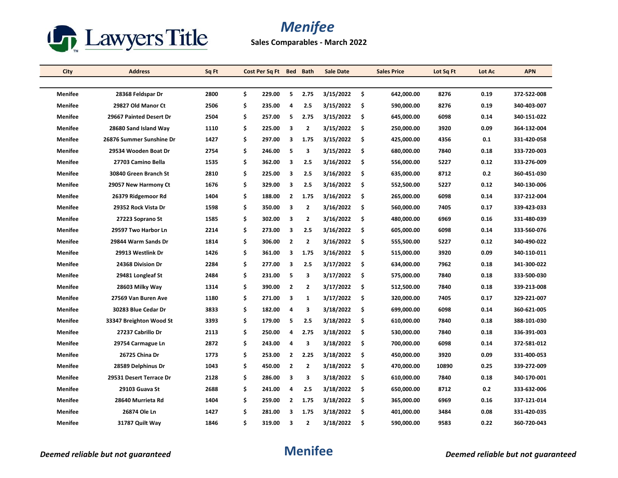

**Sales Comparables - March 2022**

| City           | <b>Address</b>           | Sq Ft | Cost Per Sq Ft Bed |                | <b>Bath</b>             | <b>Sale Date</b> |     | <b>Sales Price</b> | Lot Sq Ft | Lot Ac | <b>APN</b>  |
|----------------|--------------------------|-------|--------------------|----------------|-------------------------|------------------|-----|--------------------|-----------|--------|-------------|
|                |                          |       |                    |                |                         |                  |     |                    |           |        |             |
| <b>Menifee</b> | 28368 Feldspar Dr        | 2800  | \$<br>229.00       | 5              | 2.75                    | 3/15/2022        | -\$ | 642,000.00         | 8276      | 0.19   | 372-522-008 |
| Menifee        | 29827 Old Manor Ct       | 2506  | \$<br>235.00       | 4              | 2.5                     | 3/15/2022        | \$  | 590,000.00         | 8276      | 0.19   | 340-403-007 |
| Menifee        | 29667 Painted Desert Dr  | 2504  | \$<br>257.00       | 5              | 2.75                    | 3/15/2022        | \$  | 645,000.00         | 6098      | 0.14   | 340-151-022 |
| <b>Menifee</b> | 28680 Sand Island Way    | 1110  | \$<br>225.00       | 3              | $\overline{2}$          | 3/15/2022        | -\$ | 250,000.00         | 3920      | 0.09   | 364-132-004 |
| Menifee        | 26876 Summer Sunshine Dr | 1427  | \$<br>297.00       | 3              | 1.75                    | 3/15/2022        | \$  | 425,000.00         | 4356      | 0.1    | 331-420-058 |
| <b>Menifee</b> | 29534 Wooden Boat Dr     | 2754  | \$<br>246.00       | 5              | 3                       | 3/15/2022        | -\$ | 680,000.00         | 7840      | 0.18   | 333-720-003 |
| <b>Menifee</b> | 27703 Camino Bella       | 1535  | \$<br>362.00       | 3              | 2.5                     | 3/16/2022        | \$  | 556,000.00         | 5227      | 0.12   | 333-276-009 |
| Menifee        | 30840 Green Branch St    | 2810  | \$<br>225.00       | 3              | 2.5                     | 3/16/2022        | -\$ | 635,000.00         | 8712      | 0.2    | 360-451-030 |
| <b>Menifee</b> | 29057 New Harmony Ct     | 1676  | \$<br>329.00       | 3              | 2.5                     | 3/16/2022        | -\$ | 552,500.00         | 5227      | 0.12   | 340-130-006 |
| <b>Menifee</b> | 26379 Ridgemoor Rd       | 1404  | \$<br>188.00       | 2              | 1.75                    | 3/16/2022        | \$  | 265,000.00         | 6098      | 0.14   | 337-212-004 |
| <b>Menifee</b> | 29352 Rock Vista Dr      | 1598  | \$<br>350.00       | 3              | $\overline{2}$          | 3/16/2022        | -\$ | 560,000.00         | 7405      | 0.17   | 339-423-033 |
| <b>Menifee</b> | 27223 Soprano St         | 1585  | \$<br>302.00       | 3              | 2                       | 3/16/2022        | -\$ | 480,000.00         | 6969      | 0.16   | 331-480-039 |
| <b>Menifee</b> | 29597 Two Harbor Ln      | 2214  | \$<br>273.00       | 3              | 2.5                     | 3/16/2022        | \$  | 605,000.00         | 6098      | 0.14   | 333-560-076 |
| <b>Menifee</b> | 29844 Warm Sands Dr      | 1814  | \$<br>306.00       | $\mathbf{2}$   | $\overline{2}$          | 3/16/2022        | \$  | 555,500.00         | 5227      | 0.12   | 340-490-022 |
| <b>Menifee</b> | 29913 Westlink Dr        | 1426  | \$<br>361.00       | 3              | 1.75                    | 3/16/2022        | -\$ | 515,000.00         | 3920      | 0.09   | 340-110-011 |
| Menifee        | 24368 Division Dr        | 2284  | \$<br>277.00       | 3              | 2.5                     | 3/17/2022        | \$  | 634,000.00         | 7962      | 0.18   | 341-300-022 |
| <b>Menifee</b> | 29481 Longleaf St        | 2484  | \$<br>231.00       | 5              | 3                       | 3/17/2022        | \$  | 575,000.00         | 7840      | 0.18   | 333-500-030 |
| Menifee        | 28603 Milky Way          | 1314  | \$<br>390.00       | $\overline{2}$ | $\overline{2}$          | 3/17/2022        | -\$ | 512,500.00         | 7840      | 0.18   | 339-213-008 |
| <b>Menifee</b> | 27569 Van Buren Ave      | 1180  | \$<br>271.00       | 3              | 1                       | 3/17/2022        | \$  | 320,000.00         | 7405      | 0.17   | 329-221-007 |
| <b>Menifee</b> | 30283 Blue Cedar Dr      | 3833  | \$<br>182.00       | 4              | 3                       | 3/18/2022        | \$  | 699,000.00         | 6098      | 0.14   | 360-621-005 |
| <b>Menifee</b> | 33347 Breighton Wood St  | 3393  | \$<br>179.00       | 5              | 2.5                     | 3/18/2022        | -\$ | 610,000.00         | 7840      | 0.18   | 388-101-030 |
| <b>Menifee</b> | 27237 Cabrillo Dr        | 2113  | \$<br>250.00       | 4              | 2.75                    | 3/18/2022        | -\$ | 530,000.00         | 7840      | 0.18   | 336-391-003 |
| <b>Menifee</b> | 29754 Carmague Ln        | 2872  | \$<br>243.00       | 4              | 3                       | 3/18/2022        | \$  | 700,000.00         | 6098      | 0.14   | 372-581-012 |
| <b>Menifee</b> | 26725 China Dr           | 1773  | \$<br>253.00       | 2              | 2.25                    | 3/18/2022        | -\$ | 450,000.00         | 3920      | 0.09   | 331-400-053 |
| Menifee        | 28589 Delphinus Dr       | 1043  | \$<br>450.00       | $\overline{2}$ | $\overline{\mathbf{2}}$ | 3/18/2022        | \$  | 470,000.00         | 10890     | 0.25   | 339-272-009 |
| <b>Menifee</b> | 29531 Desert Terrace Dr  | 2128  | \$<br>286.00       | 3              | 3                       | 3/18/2022        | -\$ | 610,000.00         | 7840      | 0.18   | 340-170-001 |
| <b>Menifee</b> | 29103 Guava St           | 2688  | \$<br>241.00       | 4              | 2.5                     | 3/18/2022        | -\$ | 650,000.00         | 8712      | 0.2    | 333-632-006 |
| Menifee        | 28640 Murrieta Rd        | 1404  | \$<br>259.00       | $\mathbf{2}$   | 1.75                    | 3/18/2022        | -\$ | 365,000.00         | 6969      | 0.16   | 337-121-014 |
| Menifee        | 26874 Ole Ln             | 1427  | \$<br>281.00       | 3              | 1.75                    | 3/18/2022        | -S  | 401,000.00         | 3484      | 0.08   | 331-420-035 |
| Menifee        | 31787 Quilt Way          | 1846  | \$<br>319.00       | 3              | $\overline{2}$          | 3/18/2022        | Ś.  | 590,000.00         | 9583      | 0.22   | 360-720-043 |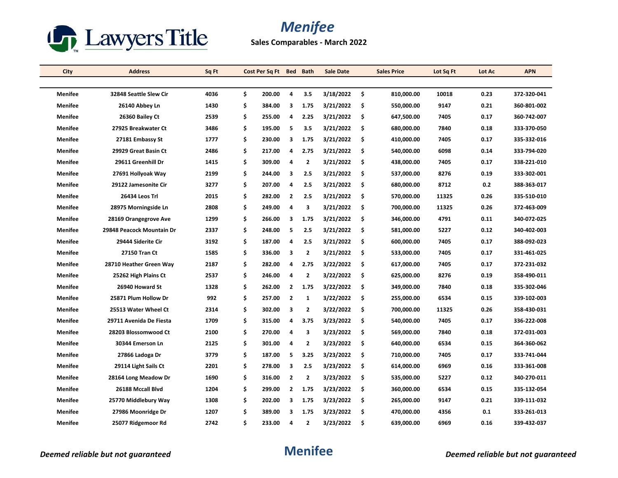

**Sales Comparables - March 2022**

| City           | <b>Address</b>            | Sq Ft | Cost Per Sq Ft Bed Bath |                |                | Sale Date |     | <b>Sales Price</b> | Lot Sq Ft | Lot Ac | <b>APN</b>  |
|----------------|---------------------------|-------|-------------------------|----------------|----------------|-----------|-----|--------------------|-----------|--------|-------------|
|                |                           |       |                         |                |                |           |     |                    |           |        |             |
| <b>Menifee</b> | 32848 Seattle Slew Cir    | 4036  | \$<br>200.00            | 4              | 3.5            | 3/18/2022 | \$  | 810,000.00         | 10018     | 0.23   | 372-320-041 |
| Menifee        | 26140 Abbey Ln            | 1430  | \$<br>384.00            | 3              | 1.75           | 3/21/2022 | \$. | 550,000.00         | 9147      | 0.21   | 360-801-002 |
| <b>Menifee</b> | 26360 Bailey Ct           | 2539  | \$<br>255.00            | 4              | 2.25           | 3/21/2022 | \$. | 647,500.00         | 7405      | 0.17   | 360-742-007 |
| Menifee        | 27925 Breakwater Ct       | 3486  | \$<br>195.00            | 5              | 3.5            | 3/21/2022 | \$  | 680,000.00         | 7840      | 0.18   | 333-370-050 |
| <b>Menifee</b> | 27181 Embassy St          | 1777  | \$<br>230.00            | 3              | 1.75           | 3/21/2022 | \$  | 410,000.00         | 7405      | 0.17   | 335-332-016 |
| <b>Menifee</b> | 29929 Great Basin Ct      | 2486  | \$<br>217.00            | 4              | 2.75           | 3/21/2022 | \$  | 540,000.00         | 6098      | 0.14   | 333-794-020 |
| <b>Menifee</b> | 29611 Greenhill Dr        | 1415  | \$<br>309.00            | 4              | $\overline{2}$ | 3/21/2022 | \$. | 438,000.00         | 7405      | 0.17   | 338-221-010 |
| <b>Menifee</b> | 27691 Hollyoak Way        | 2199  | \$<br>244.00            | 3              | 2.5            | 3/21/2022 | \$  | 537,000.00         | 8276      | 0.19   | 333-302-001 |
| Menifee        | 29122 Jamesonite Cir      | 3277  | \$<br>207.00            | 4              | 2.5            | 3/21/2022 | \$  | 680,000.00         | 8712      | 0.2    | 388-363-017 |
| <b>Menifee</b> | 26434 Leos Trl            | 2015  | \$<br>282.00            | $\overline{2}$ | 2.5            | 3/21/2022 | \$  | 570,000.00         | 11325     | 0.26   | 335-510-010 |
| <b>Menifee</b> | 28975 Morningside Ln      | 2808  | \$<br>249.00            | 4              | 3              | 3/21/2022 | \$. | 700,000.00         | 11325     | 0.26   | 372-463-009 |
| <b>Menifee</b> | 28169 Orangegrove Ave     | 1299  | \$<br>266.00            | 3              | 1.75           | 3/21/2022 | \$  | 346,000.00         | 4791      | 0.11   | 340-072-025 |
| Menifee        | 29848 Peacock Mountain Dr | 2337  | \$<br>248.00            | 5              | 2.5            | 3/21/2022 | \$  | 581,000.00         | 5227      | 0.12   | 340-402-003 |
| <b>Menifee</b> | 29444 Siderite Cir        | 3192  | \$<br>187.00            | 4              | 2.5            | 3/21/2022 | \$  | 600,000.00         | 7405      | 0.17   | 388-092-023 |
| <b>Menifee</b> | 27150 Tran Ct             | 1585  | \$<br>336.00            | 3              | $\overline{2}$ | 3/21/2022 | \$  | 533,000.00         | 7405      | 0.17   | 331-461-025 |
| <b>Menifee</b> | 28710 Heather Green Way   | 2187  | \$<br>282.00            | 4              | 2.75           | 3/22/2022 | \$  | 617,000.00         | 7405      | 0.17   | 372-231-032 |
| <b>Menifee</b> | 25262 High Plains Ct      | 2537  | \$<br>246.00            | 4              | $\overline{2}$ | 3/22/2022 | \$. | 625,000.00         | 8276      | 0.19   | 358-490-011 |
| <b>Menifee</b> | 26940 Howard St           | 1328  | \$<br>262.00            | $\overline{2}$ | 1.75           | 3/22/2022 | -\$ | 349,000.00         | 7840      | 0.18   | 335-302-046 |
| Menifee        | 25871 Plum Hollow Dr      | 992   | \$<br>257.00            | $\mathbf{2}$   | $\mathbf{1}$   | 3/22/2022 | \$  | 255,000.00         | 6534      | 0.15   | 339-102-003 |
| <b>Menifee</b> | 25513 Water Wheel Ct      | 2314  | \$<br>302.00            | 3              | $\mathbf{2}$   | 3/22/2022 | \$  | 700,000.00         | 11325     | 0.26   | 358-430-031 |
| Menifee        | 29711 Avenida De Fiesta   | 1709  | \$<br>315.00            | 4              | 3.75           | 3/23/2022 | -\$ | 540,000.00         | 7405      | 0.17   | 336-222-008 |
| <b>Menifee</b> | 28203 Blossomwood Ct      | 2100  | \$<br>270.00            | 4              | 3              | 3/23/2022 | \$  | 569,000.00         | 7840      | 0.18   | 372-031-003 |
| <b>Menifee</b> | 30344 Emerson Ln          | 2125  | \$<br>301.00            | 4              | $\mathbf{2}$   | 3/23/2022 | \$  | 640,000.00         | 6534      | 0.15   | 364-360-062 |
| <b>Menifee</b> | 27866 Ladoga Dr           | 3779  | \$<br>187.00            | 5              | 3.25           | 3/23/2022 | -\$ | 710,000.00         | 7405      | 0.17   | 333-741-044 |
| <b>Menifee</b> | 29114 Light Sails Ct      | 2201  | \$<br>278.00            | з              | 2.5            | 3/23/2022 | \$  | 614,000.00         | 6969      | 0.16   | 333-361-008 |
| <b>Menifee</b> | 28164 Long Meadow Dr      | 1690  | \$<br>316.00            | $\overline{2}$ | $\overline{2}$ | 3/23/2022 | \$  | 535,000.00         | 5227      | 0.12   | 340-270-011 |
| Menifee        | 26188 Mccall Blvd         | 1204  | \$<br>299.00            | $\mathbf{2}$   | 1.75           | 3/23/2022 | -\$ | 360,000.00         | 6534      | 0.15   | 335-132-054 |
| <b>Menifee</b> | 25770 Middlebury Way      | 1308  | \$<br>202.00            | 3              | 1.75           | 3/23/2022 | \$  | 265,000.00         | 9147      | 0.21   | 339-111-032 |
| Menifee        | 27986 Moonridge Dr        | 1207  | \$<br>389.00            | 3              | 1.75           | 3/23/2022 | \$. | 470,000.00         | 4356      | 0.1    | 333-261-013 |
| <b>Menifee</b> | 25077 Ridgemoor Rd        | 2742  | \$<br>233.00            | 4              | $\overline{2}$ | 3/23/2022 | \$. | 639,000.00         | 6969      | 0.16   | 339-432-037 |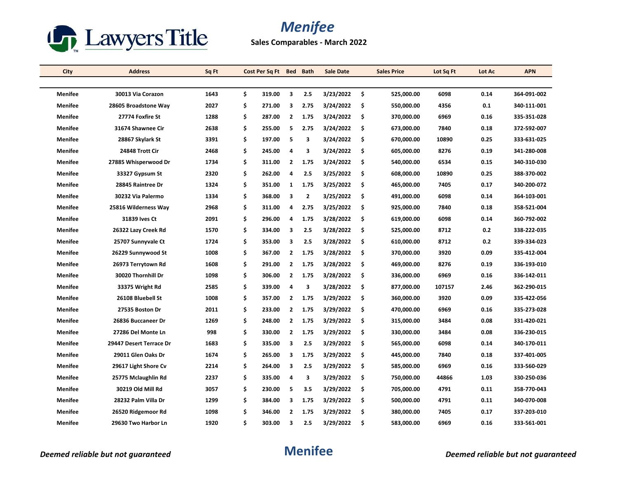

**Sales Comparables - March 2022**

| City           | <b>Address</b>          | Sq Ft | Cost Per Sq Ft | Bed            | <b>Bath</b>    | <b>Sale Date</b> |      | <b>Sales Price</b> | Lot Sq Ft | Lot Ac | <b>APN</b>  |
|----------------|-------------------------|-------|----------------|----------------|----------------|------------------|------|--------------------|-----------|--------|-------------|
|                |                         |       |                |                |                |                  |      |                    |           |        |             |
| <b>Menifee</b> | 30013 Via Corazon       | 1643  | \$<br>319.00   | 3              | 2.5            | 3/23/2022        | - \$ | 525,000.00         | 6098      | 0.14   | 364-091-002 |
| <b>Menifee</b> | 28605 Broadstone Way    | 2027  | \$<br>271.00   | 3              | 2.75           | 3/24/2022        | \$   | 550,000.00         | 4356      | 0.1    | 340-111-001 |
| <b>Menifee</b> | 27774 Foxfire St        | 1288  | \$<br>287.00   | $\mathbf{2}$   | 1.75           | 3/24/2022        | \$   | 370,000.00         | 6969      | 0.16   | 335-351-028 |
| <b>Menifee</b> | 31674 Shawnee Cir       | 2638  | \$<br>255.00   | 5              | 2.75           | 3/24/2022        | -\$  | 673,000.00         | 7840      | 0.18   | 372-592-007 |
| <b>Menifee</b> | 28867 Skylark St        | 3391  | \$<br>197.00   | 5              | 3              | 3/24/2022        | \$   | 670,000.00         | 10890     | 0.25   | 333-631-025 |
| <b>Menifee</b> | 24848 Trott Cir         | 2468  | \$<br>245.00   | 4              | з              | 3/24/2022        | \$   | 605,000.00         | 8276      | 0.19   | 341-280-008 |
| <b>Menifee</b> | 27885 Whisperwood Dr    | 1734  | \$<br>311.00   | $\mathbf{2}$   | 1.75           | 3/24/2022        | \$   | 540,000.00         | 6534      | 0.15   | 340-310-030 |
| <b>Menifee</b> | 33327 Gypsum St         | 2320  | \$<br>262.00   | 4              | 2.5            | 3/25/2022        | \$   | 608,000.00         | 10890     | 0.25   | 388-370-002 |
| <b>Menifee</b> | 28845 Raintree Dr       | 1324  | \$<br>351.00   | 1              | 1.75           | 3/25/2022        | -\$  | 465,000.00         | 7405      | 0.17   | 340-200-072 |
| <b>Menifee</b> | 30232 Via Palermo       | 1334  | \$<br>368.00   | 3              | $\overline{2}$ | 3/25/2022        | \$   | 491,000.00         | 6098      | 0.14   | 364-103-001 |
| <b>Menifee</b> | 25816 Wilderness Way    | 2968  | \$<br>311.00   | 4              | 2.75           | 3/25/2022        | \$.  | 925,000.00         | 7840      | 0.18   | 358-521-004 |
| <b>Menifee</b> | 31839 Ives Ct           | 2091  | \$<br>296.00   | 4              | 1.75           | 3/28/2022        | \$   | 619,000.00         | 6098      | 0.14   | 360-792-002 |
| <b>Menifee</b> | 26322 Lazy Creek Rd     | 1570  | \$<br>334.00   | 3              | 2.5            | 3/28/2022        | \$   | 525,000.00         | 8712      | 0.2    | 338-222-035 |
| <b>Menifee</b> | 25707 Sunnyvale Ct      | 1724  | \$<br>353.00   | 3              | 2.5            | 3/28/2022        | \$   | 610,000.00         | 8712      | 0.2    | 339-334-023 |
| <b>Menifee</b> | 26229 Sunnywood St      | 1008  | \$<br>367.00   | $\overline{2}$ | 1.75           | 3/28/2022        | -\$  | 370,000.00         | 3920      | 0.09   | 335-412-004 |
| <b>Menifee</b> | 26973 Terrytown Rd      | 1608  | \$<br>291.00   | $\mathbf{2}$   | 1.75           | 3/28/2022        | \$   | 469,000.00         | 8276      | 0.19   | 336-193-010 |
| <b>Menifee</b> | 30020 Thornhill Dr      | 1098  | \$<br>306.00   | $\mathbf{2}$   | 1.75           | 3/28/2022        | \$.  | 336,000.00         | 6969      | 0.16   | 336-142-011 |
| <b>Menifee</b> | 33375 Wright Rd         | 2585  | \$<br>339.00   | 4              | 3              | 3/28/2022        | -\$  | 877,000.00         | 107157    | 2.46   | 362-290-015 |
| <b>Menifee</b> | 26108 Bluebell St       | 1008  | \$<br>357.00   | $\mathbf{2}$   | 1.75           | 3/29/2022        | \$   | 360,000.00         | 3920      | 0.09   | 335-422-056 |
| <b>Menifee</b> | 27535 Boston Dr         | 2011  | \$<br>233.00   | $\mathbf{2}$   | 1.75           | 3/29/2022        | \$   | 470,000.00         | 6969      | 0.16   | 335-273-028 |
| <b>Menifee</b> | 26836 Buccaneer Dr      | 1269  | \$<br>248.00   | $\mathbf{2}$   | 1.75           | 3/29/2022        | -\$  | 315,000.00         | 3484      | 0.08   | 331-420-021 |
| <b>Menifee</b> | 27286 Del Monte Ln      | 998   | \$<br>330.00   | $\mathbf{2}$   | 1.75           | 3/29/2022        | \$   | 330,000.00         | 3484      | 0.08   | 336-230-015 |
| <b>Menifee</b> | 29447 Desert Terrace Dr | 1683  | \$<br>335.00   | 3              | 2.5            | 3/29/2022        | \$   | 565,000.00         | 6098      | 0.14   | 340-170-011 |
| <b>Menifee</b> | 29011 Glen Oaks Dr      | 1674  | \$<br>265.00   | 3              | 1.75           | 3/29/2022        | -\$  | 445,000.00         | 7840      | 0.18   | 337-401-005 |
| Menifee        | 29617 Light Shore Cv    | 2214  | \$<br>264.00   | 3              | 2.5            | 3/29/2022        | \$   | 585,000.00         | 6969      | 0.16   | 333-560-029 |
| <b>Menifee</b> | 25775 Mclaughlin Rd     | 2237  | \$<br>335.00   | 4              | 3              | 3/29/2022        | \$   | 750,000.00         | 44866     | 1.03   | 330-250-036 |
| <b>Menifee</b> | 30219 Old Mill Rd       | 3057  | \$<br>230.00   | 5              | 3.5            | 3/29/2022        | -\$  | 705,000.00         | 4791      | 0.11   | 358-770-043 |
| <b>Menifee</b> | 28232 Palm Villa Dr     | 1299  | \$<br>384.00   | 3              | 1.75           | 3/29/2022        | \$   | 500,000.00         | 4791      | 0.11   | 340-070-008 |
| <b>Menifee</b> | 26520 Ridgemoor Rd      | 1098  | \$<br>346.00   | 2              | 1.75           | 3/29/2022        | \$.  | 380,000.00         | 7405      | 0.17   | 337-203-010 |
| Menifee        | 29630 Two Harbor Ln     | 1920  | \$<br>303.00   | 3              | 2.5            | 3/29/2022        | Ś.   | 583,000.00         | 6969      | 0.16   | 333-561-001 |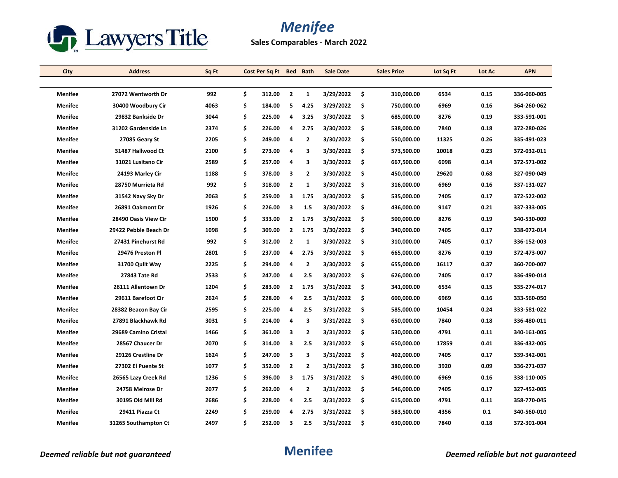

**Sales Comparables - March 2022**

| City           | <b>Address</b>        | Sq Ft | Cost Per Sq Ft Bed Bath |                         |                | <b>Sale Date</b> | <b>Sales Price</b> | Lot Sq Ft | Lot Ac | <b>APN</b>  |
|----------------|-----------------------|-------|-------------------------|-------------------------|----------------|------------------|--------------------|-----------|--------|-------------|
|                |                       |       |                         |                         |                |                  |                    |           |        |             |
| Menifee        | 27072 Wentworth Dr    | 992   | \$<br>312.00            | $\overline{2}$          | 1              | 3/29/2022        | \$<br>310,000.00   | 6534      | 0.15   | 336-060-005 |
| Menifee        | 30400 Woodbury Cir    | 4063  | \$<br>184.00            | -5                      | 4.25           | 3/29/2022        | \$<br>750,000.00   | 6969      | 0.16   | 364-260-062 |
| <b>Menifee</b> | 29832 Bankside Dr     | 3044  | \$<br>225.00            | $\overline{4}$          | 3.25           | 3/30/2022        | \$<br>685,000.00   | 8276      | 0.19   | 333-591-001 |
| <b>Menifee</b> | 31202 Gardenside Ln   | 2374  | \$<br>226.00            | 4                       | 2.75           | 3/30/2022        | \$<br>538,000.00   | 7840      | 0.18   | 372-280-026 |
| Menifee        | 27085 Geary St        | 2205  | \$<br>249.00            | 4                       | $\mathbf{2}$   | 3/30/2022        | \$<br>550,000.00   | 11325     | 0.26   | 335-491-023 |
| <b>Menifee</b> | 31487 Hallwood Ct     | 2100  | \$<br>273.00            | $\overline{4}$          | 3              | 3/30/2022        | \$<br>573,500.00   | 10018     | 0.23   | 372-032-011 |
| <b>Menifee</b> | 31021 Lusitano Cir    | 2589  | \$<br>257.00            | 4                       | 3              | 3/30/2022        | \$<br>667,500.00   | 6098      | 0.14   | 372-571-002 |
| <b>Menifee</b> | 24193 Marley Cir      | 1188  | \$<br>378.00            | 3                       | $\overline{2}$ | 3/30/2022        | \$<br>450,000.00   | 29620     | 0.68   | 327-090-049 |
| <b>Menifee</b> | 28750 Murrieta Rd     | 992   | \$<br>318.00            | $\overline{2}$          | $\mathbf{1}$   | 3/30/2022        | \$<br>316,000.00   | 6969      | 0.16   | 337-131-027 |
| <b>Menifee</b> | 31542 Navy Sky Dr     | 2063  | \$<br>259.00            | 3                       | 1.75           | 3/30/2022        | \$<br>535,000.00   | 7405      | 0.17   | 372 522 002 |
| <b>Menifee</b> | 26891 Oakmont Dr      | 1926  | \$<br>226.00            | 3                       | 1.5            | 3/30/2022        | \$<br>436,000.00   | 9147      | 0.21   | 337-333-005 |
| Menifee        | 28490 Oasis View Cir  | 1500  | \$<br>333.00            | $\overline{2}$          | 1.75           | 3/30/2022        | \$<br>500,000.00   | 8276      | 0.19   | 340-530-009 |
| <b>Menifee</b> | 29422 Pebble Beach Dr | 1098  | \$<br>309.00            | $\overline{2}$          | 1.75           | 3/30/2022        | \$<br>340,000.00   | 7405      | 0.17   | 338-072-014 |
| <b>Menifee</b> | 27431 Pinehurst Rd    | 992   | \$<br>312.00            | $\overline{2}$          | $\mathbf{1}$   | 3/30/2022        | \$<br>310,000.00   | 7405      | 0.17   | 336-152-003 |
| <b>Menifee</b> | 29476 Preston Pl      | 2801  | \$<br>237.00            | 4                       | 2.75           | 3/30/2022        | \$<br>665,000.00   | 8276      | 0.19   | 372-473-007 |
| <b>Menifee</b> | 31700 Quilt Way       | 2225  | \$<br>294.00            | 4                       | $\mathbf{2}$   | 3/30/2022        | \$<br>655,000.00   | 16117     | 0.37   | 360-700-007 |
| <b>Menifee</b> | 27843 Tate Rd         | 2533  | \$<br>247.00            | 4                       | 2.5            | 3/30/2022        | \$<br>626,000.00   | 7405      | 0.17   | 336-490-014 |
| Menifee        | 26111 Allentown Dr    | 1204  | \$<br>283.00            | $\overline{2}$          | 1.75           | 3/31/2022        | \$<br>341,000.00   | 6534      | 0.15   | 335-274-017 |
| Menifee        | 29611 Barefoot Cir    | 2624  | \$<br>228.00            | 4                       | 2.5            | 3/31/2022        | \$<br>600,000.00   | 6969      | 0.16   | 333-560-050 |
| <b>Menifee</b> | 28382 Beacon Bay Cir  | 2595  | \$<br>225.00            | 4                       | 2.5            | 3/31/2022        | \$<br>585,000.00   | 10454     | 0.24   | 333-581-022 |
| <b>Menifee</b> | 27891 Blackhawk Rd    | 3031  | \$<br>214.00            | 4                       | 3              | 3/31/2022        | \$<br>650,000.00   | 7840      | 0.18   | 336-480-011 |
| <b>Menifee</b> | 29689 Camino Cristal  | 1466  | \$<br>361.00            | 3                       | $\mathbf{2}$   | 3/31/2022        | \$<br>530,000.00   | 4791      | 0.11   | 340-161-005 |
| <b>Menifee</b> | 28567 Chaucer Dr      | 2070  | \$<br>314.00            | 3                       | 2.5            | 3/31/2022        | \$<br>650,000.00   | 17859     | 0.41   | 336-432-005 |
| <b>Menifee</b> | 29126 Crestline Dr    | 1624  | \$<br>247.00            | $\overline{\mathbf{3}}$ | 3              | 3/31/2022        | \$<br>402,000.00   | 7405      | 0.17   | 339-342-001 |
| <b>Menifee</b> | 27302 El Puente St    | 1077  | \$<br>352.00            | $\overline{2}$          | $\mathbf{2}$   | 3/31/2022        | \$<br>380,000.00   | 3920      | 0.09   | 336-271-037 |
| <b>Menifee</b> | 26565 Lazy Creek Rd   | 1236  | \$<br>396.00            | 3                       | 1.75           | 3/31/2022        | \$<br>490,000.00   | 6969      | 0.16   | 338-110-005 |
| <b>Menifee</b> | 24758 Melrose Dr      | 2077  | \$<br>262.00            | 4                       | $\mathbf{2}$   | 3/31/2022        | \$<br>546,000.00   | 7405      | 0.17   | 327-452-005 |
| <b>Menifee</b> | 30195 Old Mill Rd     | 2686  | \$<br>228.00            | 4                       | 2.5            | 3/31/2022        | \$<br>615,000.00   | 4791      | 0.11   | 358-770-045 |
| <b>Menifee</b> | 29411 Piazza Ct       | 2249  | \$<br>259.00            | 4                       | 2.75           | 3/31/2022        | \$<br>583,500.00   | 4356      | 0.1    | 340-560-010 |
| Menifee        | 31265 Southampton Ct  | 2497  | \$<br>252.00            | 3                       | 2.5            | 3/31/2022        | \$<br>630,000.00   | 7840      | 0.18   | 372-301-004 |